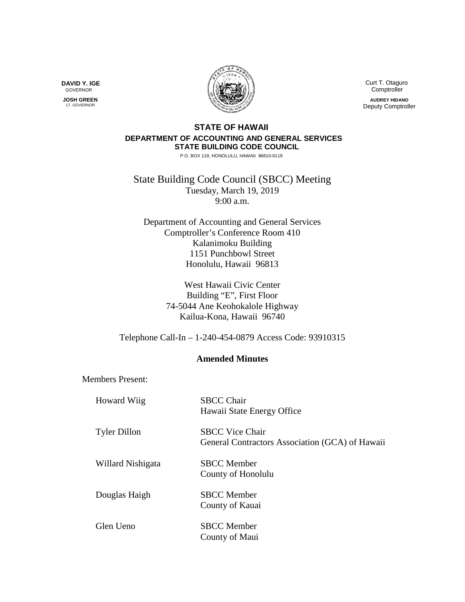

 Curt T. Otaguro Comptroller **AUDREY HIDANO** Deputy Comptroller

## **STATE OF HAWAII DEPARTMENT OF ACCOUNTING AND GENERAL SERVICES STATE BUILDING CODE COUNCIL**

P.O. BOX 119, HONOLULU, HAWAII 96810-0119

State Building Code Council (SBCC) Meeting Tuesday, March 19, 2019 9:00 a.m.

Department of Accounting and General Services Comptroller's Conference Room 410 Kalanimoku Building 1151 Punchbowl Street Honolulu, Hawaii 96813

> West Hawaii Civic Center Building "E", First Floor 74-5044 Ane Keohokalole Highway Kailua-Kona, Hawaii 96740

Telephone Call-In – 1-240-454-0879 Access Code: 93910315

## **Amended Minutes**

Members Present:

| <b>Howard Wiig</b>  | <b>SBCC Chair</b><br>Hawaii State Energy Office                           |
|---------------------|---------------------------------------------------------------------------|
| <b>Tyler Dillon</b> | <b>SBCC Vice Chair</b><br>General Contractors Association (GCA) of Hawaii |
| Willard Nishigata   | <b>SBCC</b> Member<br>County of Honolulu                                  |
| Douglas Haigh       | <b>SBCC</b> Member<br>County of Kauai                                     |
| Glen Ueno           | <b>SBCC</b> Member<br>County of Maui                                      |

**DAVID Y. IGE** GOVERNOR

 **JOSH GREEN** LT. GOVERNOR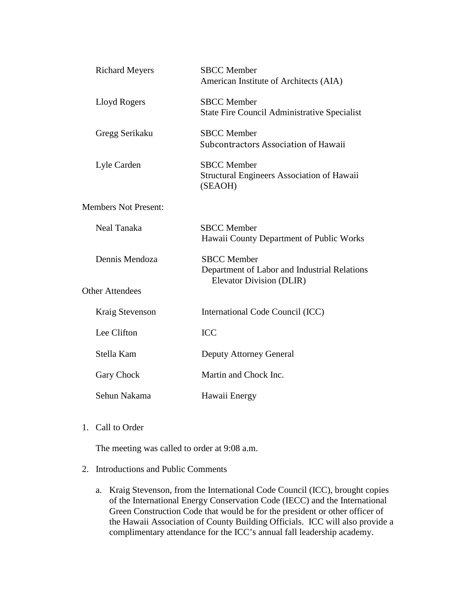| <b>Richard Meyers</b>       | <b>SBCC</b> Member<br>American Institute of Architects (AIA)                       |
|-----------------------------|------------------------------------------------------------------------------------|
| Lloyd Rogers                | <b>SBCC</b> Member<br>State Fire Council Administrative Specialist                 |
| Gregg Serikaku              | <b>SBCC</b> Member<br>Subcontractors Association of Hawaii                         |
| Lyle Carden                 | <b>SBCC</b> Member<br><b>Structural Engineers Association of Hawaii</b><br>(SEAOH) |
| <b>Members Not Present:</b> |                                                                                    |
| Neal Tanaka                 | <b>SBCC</b> Member<br>Hawaii County Department of Public Works                     |
| Dennis Mendoza              | <b>SBCC</b> Member<br>Department of Labor and Industrial Relations                 |
| <b>Other Attendees</b>      | Elevator Division (DLIR)                                                           |
| <b>Kraig Stevenson</b>      | International Code Council (ICC)                                                   |
| Lee Clifton                 | <b>ICC</b>                                                                         |
| Stella Kam                  | <b>Deputy Attorney General</b>                                                     |
| Gary Chock                  | Martin and Chock Inc.                                                              |
| Sehun Nakama                | Hawaii Energy                                                                      |

1. Call to Order

The meeting was called to order at 9:08 a.m.

- 2. Introductions and Public Comments
	- a. Kraig Stevenson, from the International Code Council (ICC), brought copies of the International Energy Conservation Code (IECC) and the International Green Construction Code that would be for the president or other officer of the Hawaii Association of County Building Officials. ICC will also provide a complimentary attendance for the ICC's annual fall leadership academy.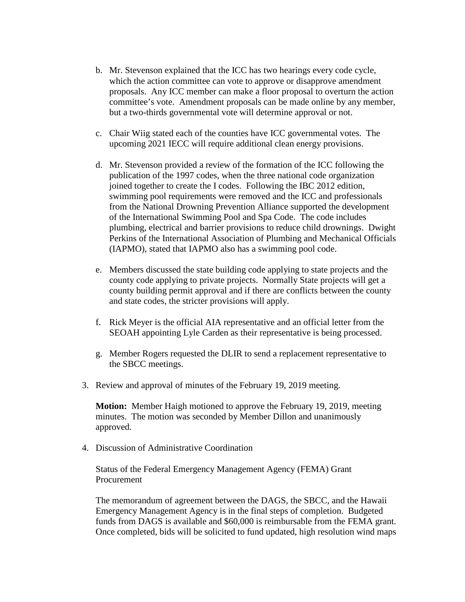- b. Mr. Stevenson explained that the ICC has two hearings every code cycle, which the action committee can vote to approve or disapprove amendment proposals. Any ICC member can make a floor proposal to overturn the action committee's vote. Amendment proposals can be made online by any member, but a two-thirds governmental vote will determine approval or not.
- c. Chair Wiig stated each of the counties have ICC governmental votes. The upcoming 2021 IECC will require additional clean energy provisions.
- d. Mr. Stevenson provided a review of the formation of the ICC following the publication of the 1997 codes, when the three national code organization joined together to create the I codes. Following the IBC 2012 edition, swimming pool requirements were removed and the ICC and professionals from the National Drowning Prevention Alliance supported the development of the International Swimming Pool and Spa Code. The code includes plumbing, electrical and barrier provisions to reduce child drownings. Dwight Perkins of the International Association of Plumbing and Mechanical Officials (IAPMO), stated that IAPMO also has a swimming pool code.
- e. Members discussed the state building code applying to state projects and the county code applying to private projects. Normally State projects will get a county building permit approval and if there are conflicts between the county and state codes, the stricter provisions will apply.
- f. Rick Meyer is the official AIA representative and an official letter from the SEOAH appointing Lyle Carden as their representative is being processed.
- g. Member Rogers requested the DLIR to send a replacement representative to the SBCC meetings.
- 3. Review and approval of minutes of the February 19, 2019 meeting.

**Motion:** Member Haigh motioned to approve the February 19, 2019, meeting minutes. The motion was seconded by Member Dillon and unanimously approved.

4. Discussion of Administrative Coordination

Status of the Federal Emergency Management Agency (FEMA) Grant **Procurement** 

The memorandum of agreement between the DAGS, the SBCC, and the Hawaii Emergency Management Agency is in the final steps of completion. Budgeted funds from DAGS is available and \$60,000 is reimbursable from the FEMA grant. Once completed, bids will be solicited to fund updated, high resolution wind maps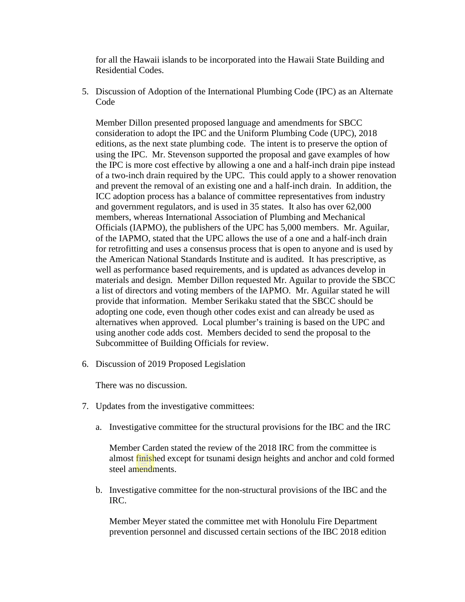for all the Hawaii islands to be incorporated into the Hawaii State Building and Residential Codes.

5. Discussion of Adoption of the International Plumbing Code (IPC) as an Alternate Code

Member Dillon presented proposed language and amendments for SBCC consideration to adopt the IPC and the Uniform Plumbing Code (UPC), 2018 editions, as the next state plumbing code. The intent is to preserve the option of using the IPC. Mr. Stevenson supported the proposal and gave examples of how the IPC is more cost effective by allowing a one and a half-inch drain pipe instead of a two-inch drain required by the UPC. This could apply to a shower renovation and prevent the removal of an existing one and a half-inch drain. In addition, the ICC adoption process has a balance of committee representatives from industry and government regulators, and is used in 35 states. It also has over 62,000 members, whereas International Association of Plumbing and Mechanical Officials (IAPMO), the publishers of the UPC has 5,000 members. Mr. Aguilar, of the IAPMO, stated that the UPC allows the use of a one and a half-inch drain for retrofitting and uses a consensus process that is open to anyone and is used by the American National Standards Institute and is audited. It has prescriptive, as well as performance based requirements, and is updated as advances develop in materials and design. Member Dillon requested Mr. Aguilar to provide the SBCC a list of directors and voting members of the IAPMO. Mr. Aguilar stated he will provide that information. Member Serikaku stated that the SBCC should be adopting one code, even though other codes exist and can already be used as alternatives when approved. Local plumber's training is based on the UPC and using another code adds cost. Members decided to send the proposal to the Subcommittee of Building Officials for review.

6. Discussion of 2019 Proposed Legislation

There was no discussion.

- 7. Updates from the investigative committees:
	- a. Investigative committee for the structural provisions for the IBC and the IRC

Member Carden stated the review of the 2018 IRC from the committee is almost finished except for tsunami design heights and anchor and cold formed steel amendments.

b. Investigative committee for the non-structural provisions of the IBC and the IRC.

Member Meyer stated the committee met with Honolulu Fire Department prevention personnel and discussed certain sections of the IBC 2018 edition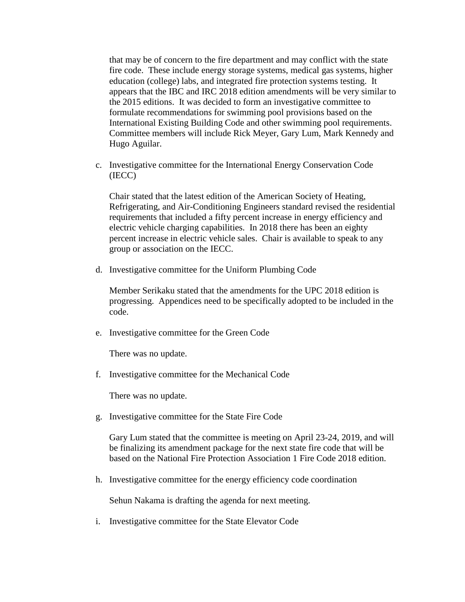that may be of concern to the fire department and may conflict with the state fire code. These include energy storage systems, medical gas systems, higher education (college) labs, and integrated fire protection systems testing. It appears that the IBC and IRC 2018 edition amendments will be very similar to the 2015 editions. It was decided to form an investigative committee to formulate recommendations for swimming pool provisions based on the International Existing Building Code and other swimming pool requirements. Committee members will include Rick Meyer, Gary Lum, Mark Kennedy and Hugo Aguilar.

c. Investigative committee for the International Energy Conservation Code (IECC)

Chair stated that the latest edition of the American Society of Heating, Refrigerating, and Air-Conditioning Engineers standard revised the residential requirements that included a fifty percent increase in energy efficiency and electric vehicle charging capabilities. In 2018 there has been an eighty percent increase in electric vehicle sales. Chair is available to speak to any group or association on the IECC.

d. Investigative committee for the Uniform Plumbing Code

Member Serikaku stated that the amendments for the UPC 2018 edition is progressing. Appendices need to be specifically adopted to be included in the code.

e. Investigative committee for the Green Code

There was no update.

f. Investigative committee for the Mechanical Code

There was no update.

g. Investigative committee for the State Fire Code

Gary Lum stated that the committee is meeting on April 23-24, 2019, and will be finalizing its amendment package for the next state fire code that will be based on the National Fire Protection Association 1 Fire Code 2018 edition.

h. Investigative committee for the energy efficiency code coordination

Sehun Nakama is drafting the agenda for next meeting.

i. Investigative committee for the State Elevator Code